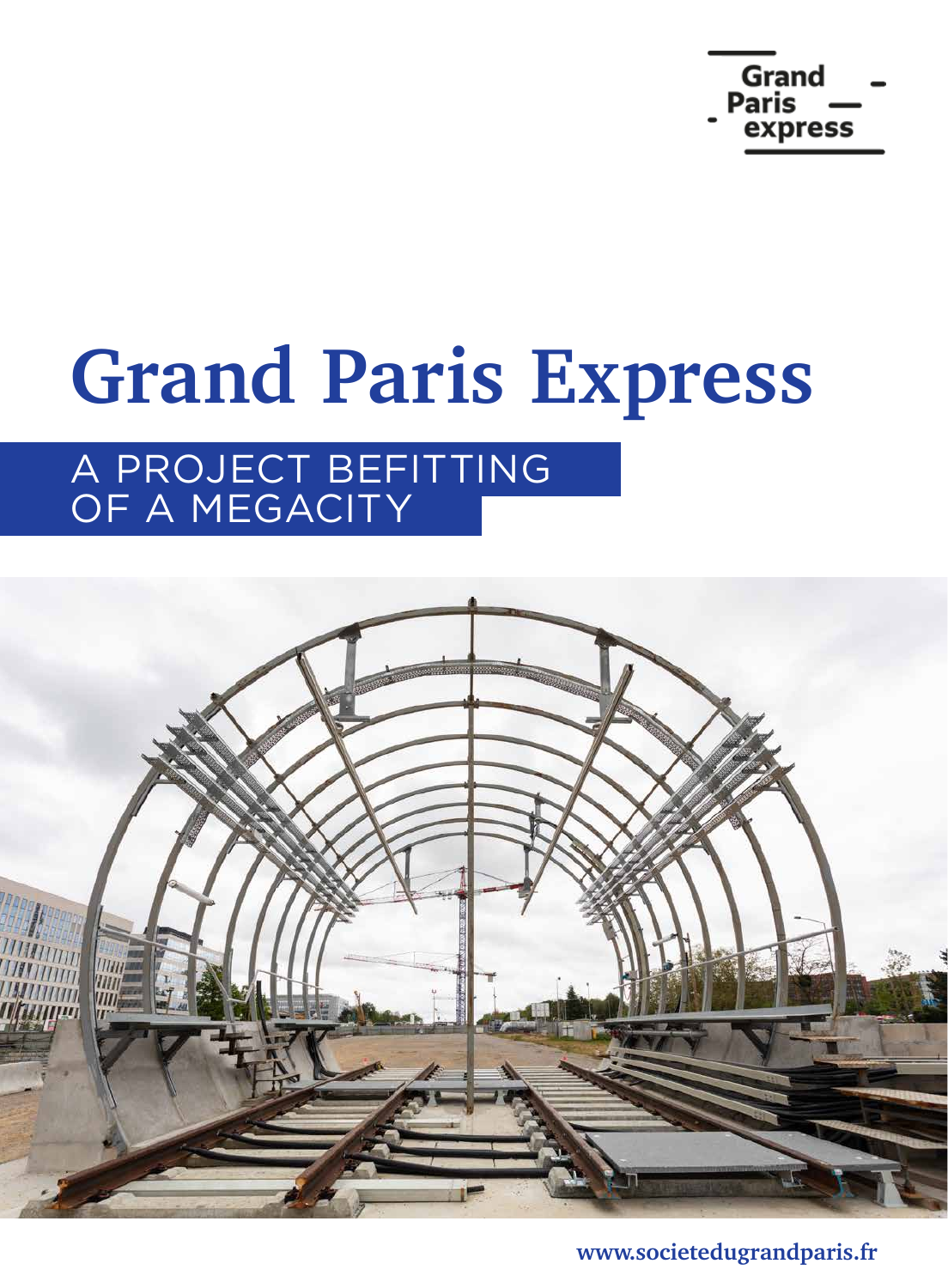

## **Grand Paris Express**

### A PROJECT BEFITTING OF A MEGACITY



**www.societedugrandparis.fr**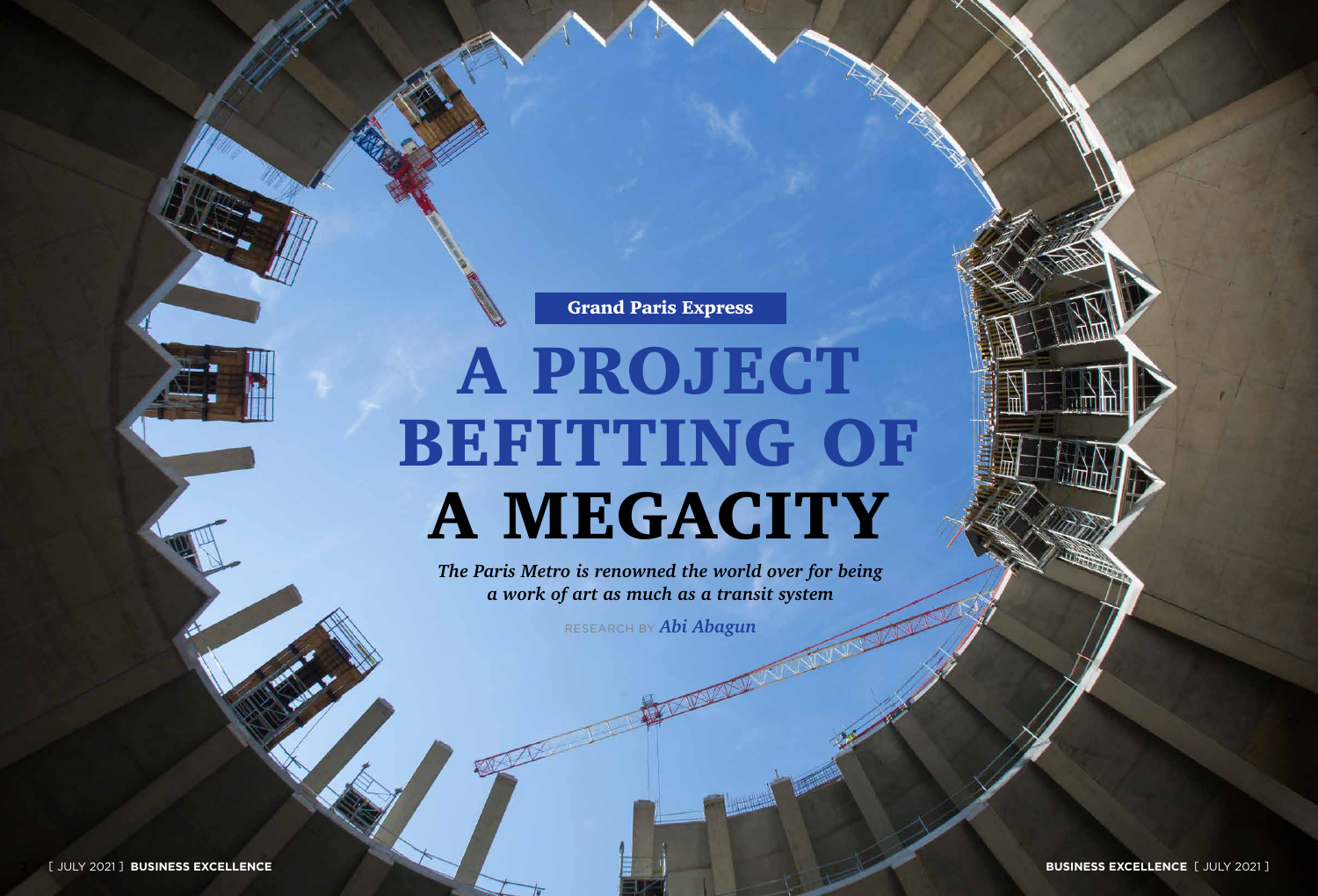**2** [ JULY 2021 ] **BUSINESS EXCELLENCE 3**

*The Paris Metro is renowned the world over for being a work of art as much as a transit system*

RESEARCH BY *Abi Abagun*

Grand Paris Express

# A PROJECT BEFITTING OF A MEGACITY

**BUSINESS EXCELLENCE** [ JULY 2021 ]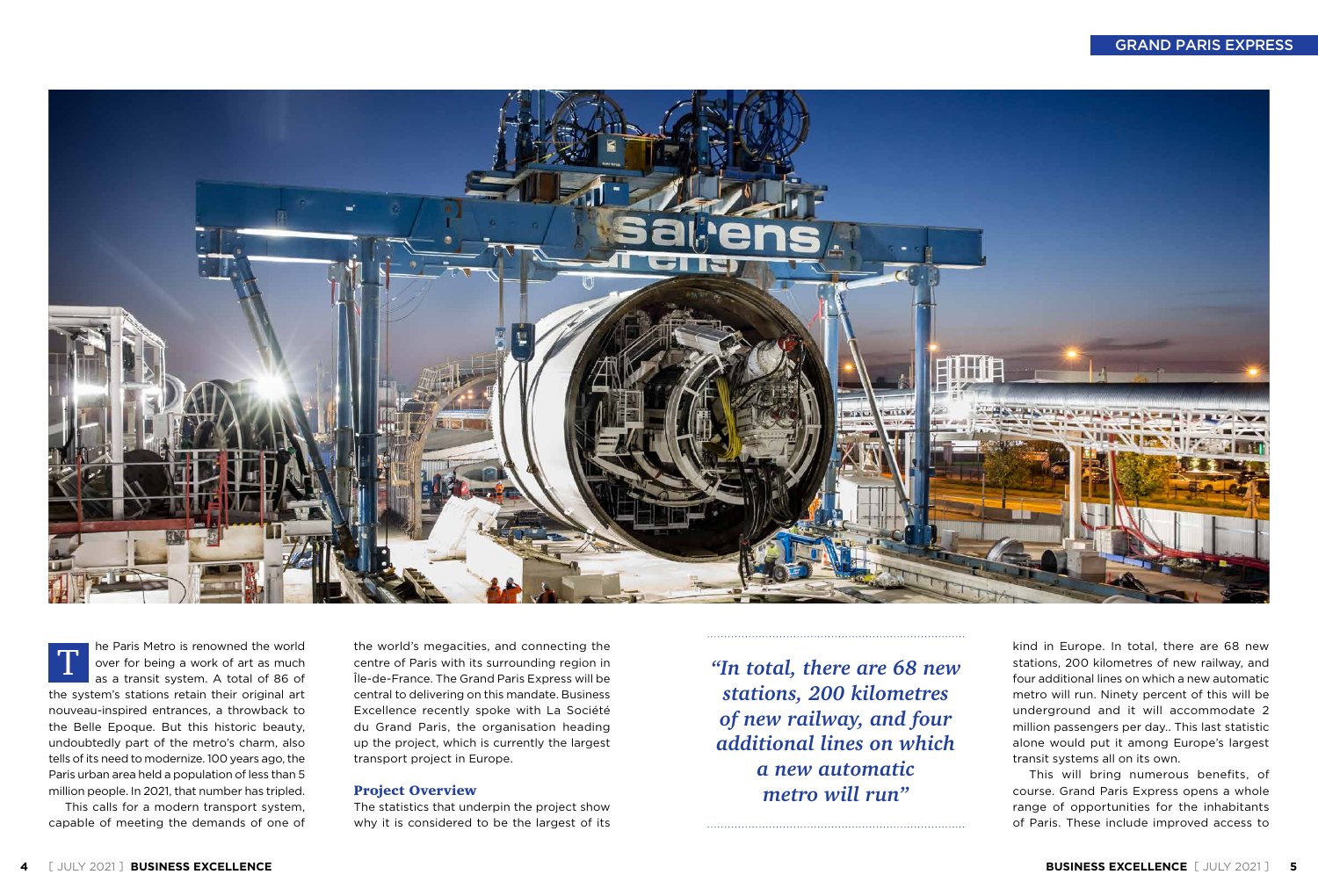This calls for a modern transport system, capable of meeting the demands of one of



he Paris Metro is renowned the world over for being a work of art as much as a transit system. A total of 86 of the system's stations retain their original art nouveau-inspired entrances, a throwback to the Belle Epoque. But this historic beauty, undoubtedly part of the metro's charm, also tells of its need to modernize. 100 years ago, the Paris urban area held a population of less than 5 million people. In 2021, that number has tripled. T

the world's megacities, and connecting the centre of Paris with its surrounding region in Île-de-France. The Grand Paris Express will be central to delivering on this mandate. Business Excellence recently spoke with La Société du Grand Paris, the organisation heading up the project, which is currently the largest transport project in Europe.

#### Project Overview

The statistics that underpin the project show why it is considered to be the largest of its

#### GRAND PARIS EXPRESS

*"In total, there are 68 new stations, 200 kilometres of new railway, and four additional lines on which a new automatic metro will run"*

kind in Europe. In total, there are 68 new stations, 200 kilometres of new railway, and four additional lines on which a new automatic metro will run. Ninety percent of this will be underground and it will accommodate 2 million passengers per day.. This last statistic alone would put it among Europe's largest transit systems all on its own.

This will bring numerous benefits, of course. Grand Paris Express opens a whole range of opportunities for the inhabitants of Paris. These include improved access to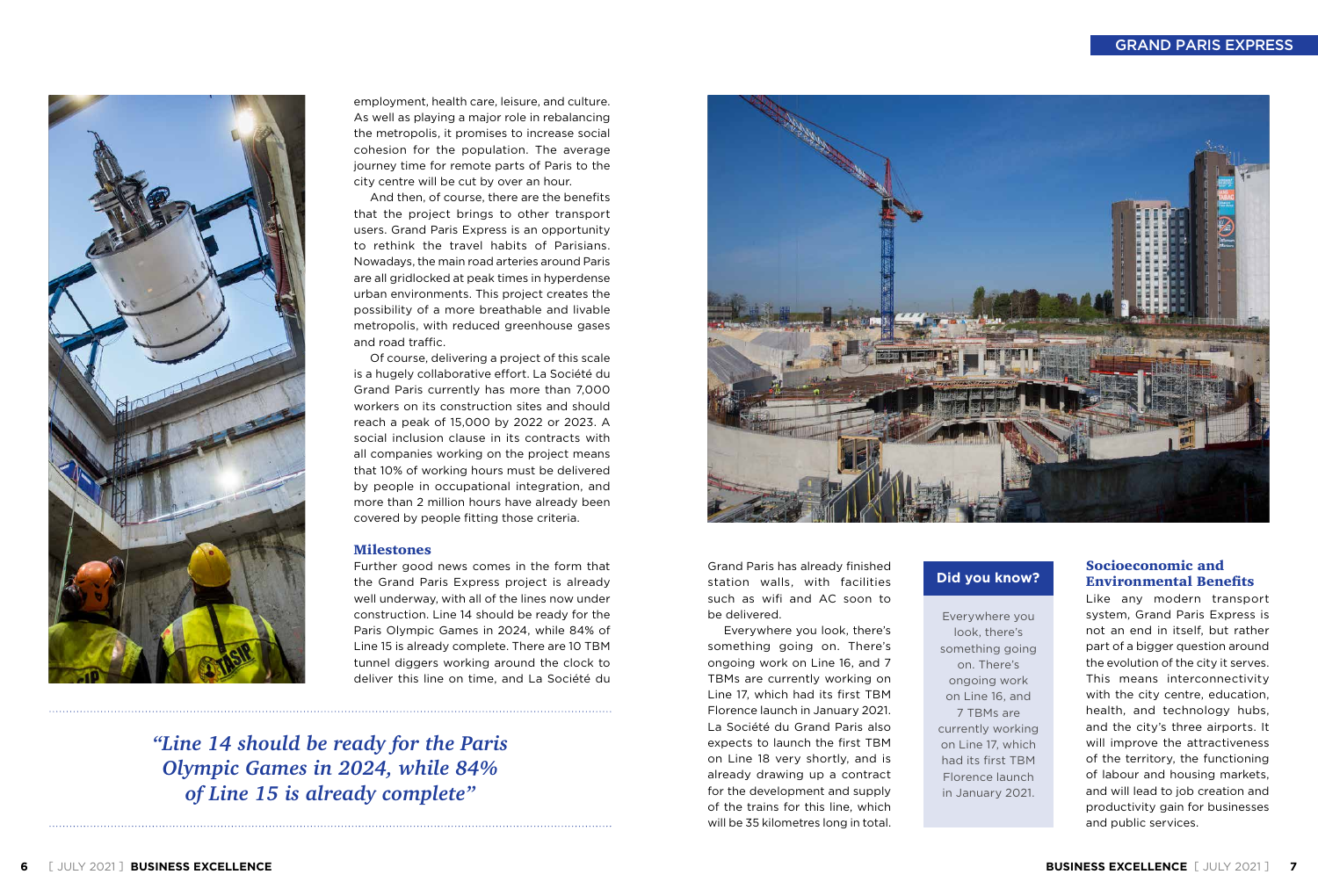

employment, health care, leisure, and culture. As well as playing a major role in rebalancing the metropolis, it promises to increase social cohesion for the population. The average journey time for remote parts of Paris to the city centre will be cut by over an hour.

And then, of course, there are the benefits that the project brings to other transport users. Grand Paris Express is an opportunity to rethink the travel habits of Parisians. Nowadays, the main road arteries around Paris are all gridlocked at peak times in hyperdense urban environments. This project creates the possibility of a more breathable and livable metropolis, with reduced greenhouse gases and road traffic.

Of course, delivering a project of this scale is a hugely collaborative effort. La Société du Grand Paris currently has more than 7,000 workers on its construction sites and should reach a peak of 15,000 by 2022 or 2023. A social inclusion clause in its contracts with all companies working on the project means that 10% of working hours must be delivered by people in occupational integration, and more than 2 million hours have already been covered by people fitting those criteria.

#### **Milestones**

Further good news comes in the form that the Grand Paris Express project is already well underway, with all of the lines now under construction. Line 14 should be ready for the Paris Olympic Games in 2024, while 84% of Line 15 is already complete. There are 10 TBM tunnel diggers working around the clock to deliver this line on time, and La Société du

#### GRAND PARIS EXPRESS

*"Line 14 should be ready for the Paris Olympic Games in 2024, while 84% of Line 15 is already complete"*



Grand Paris has already finished station walls, with facilities such as wifi and AC soon to be delivered.

Everywhere you look, there's something going on. There's ongoing work on Line 16, and 7 TBMs are currently working on Line 17, which had its first TBM Florence launch in January 2021. La Société du Grand Paris also expects to launch the first TBM on Line 18 very shortly, and is already drawing up a contract for the development and supply of the trains for this line, which will be 35 kilometres long in total.

#### Socioeconomic and Environmental Benefits

Like any modern transport system, Grand Paris Express is not an end in itself, but rather part of a bigger question around the evolution of the city it serves. This means interconnectivity with the city centre, education, health, and technology hubs, and the city's three airports. It will improve the attractiveness of the territory, the functioning of labour and housing markets, and will lead to job creation and productivity gain for businesses and public services.

Everywhere you look, there's something going on. There's ongoing work on Line 16, and 7 TBMs are currently working on Line 17, which had its first TBM Florence launch in January 2021.

#### **Did you know?**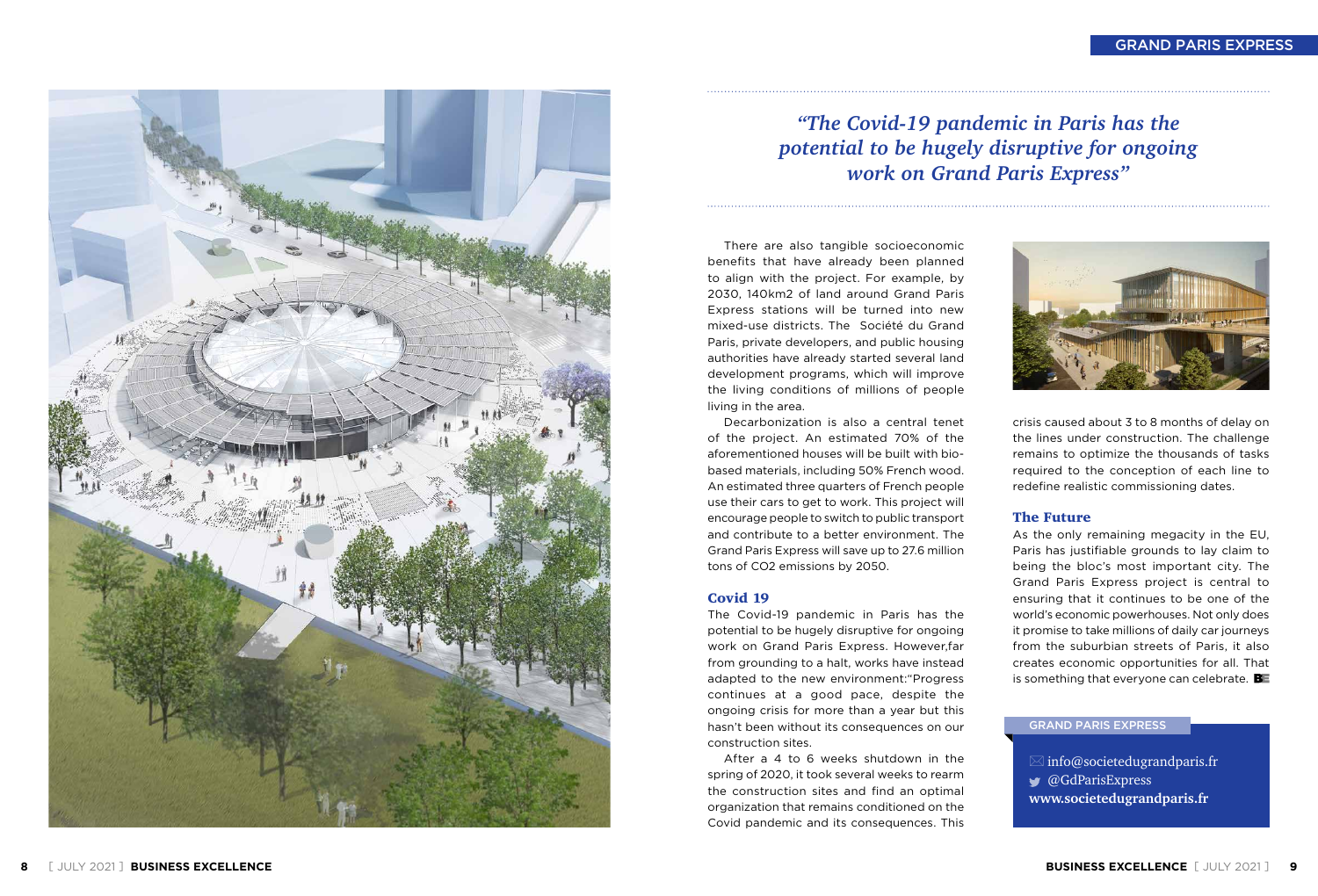#### GRAND PARIS EXPRESS



There are also tangible socioeconomic benefits that have already been planned to align with the project. For example, by 2030, 140km2 of land around Grand Paris Express stations will be turned into new mixed-use districts. The Société du Grand Paris, private developers, and public housing authorities have already started several land development programs, which will improve the living conditions of millions of people living in the area.

Decarbonization is also a central tenet of the project. An estimated 70% of the aforementioned houses will be built with biobased materials, including 50% French wood. An estimated three quarters of French people use their cars to get to work. This project will encourage people to switch to public transport and contribute to a better environment. The Grand Paris Express will save up to 27.6 million tons of CO2 emissions by 2050.

As the only remaining megacity in the EU, Paris has justifiable grounds to lay claim to being the bloc's most important city. The Grand Paris Express project is central to ensuring that it continues to be one of the world's economic powerhouses. Not only does it promise to take millions of daily car journeys from the suburbian streets of Paris, it also creates economic opportunities for all. That is something that everyone can celebrate.  $B_{\text{F}}$ 

#### Covid 19

The Covid-19 pandemic in Paris has the potential to be hugely disruptive for ongoing work on Grand Paris Express. However,far from grounding to a halt, works have instead adapted to the new environment:"Progress continues at a good pace, despite the ongoing crisis for more than a year but this hasn't been without its consequences on our construction sites.

> $\boxtimes$  info@societedugrandparis.fr @GdParisExpress **www.societedugrandparis.fr**

After a 4 to 6 weeks shutdown in the spring of 2020, it took several weeks to rearm the construction sites and find an optimal organization that remains conditioned on the Covid pandemic and its consequences. This





crisis caused about 3 to 8 months of delay on the lines under construction. The challenge remains to optimize the thousands of tasks required to the conception of each line to redefine realistic commissioning dates.

#### The Future

#### GRAND PARIS EXPRESS



### *"The Covid-19 pandemic in Paris has the potential to be hugely disruptive for ongoing work on Grand Paris Express"*